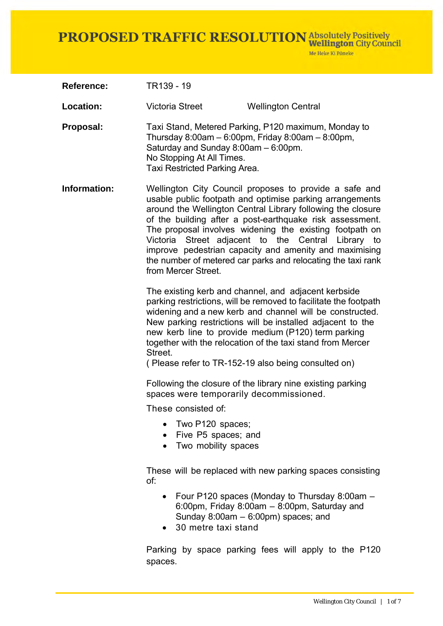Me Heke Ki Pôneke

| <b>Reference:</b> | TR139 - 19                                                                                                                                                                                                                                                                                                                                                                                                                                                                                                         |  |
|-------------------|--------------------------------------------------------------------------------------------------------------------------------------------------------------------------------------------------------------------------------------------------------------------------------------------------------------------------------------------------------------------------------------------------------------------------------------------------------------------------------------------------------------------|--|
| <b>Location:</b>  | Victoria Street<br><b>Wellington Central</b>                                                                                                                                                                                                                                                                                                                                                                                                                                                                       |  |
| Proposal:         | Taxi Stand, Metered Parking, P120 maximum, Monday to<br>Thursday 8:00am - 6:00pm, Friday 8:00am - 8:00pm,<br>Saturday and Sunday 8:00am - 6:00pm.<br>No Stopping At All Times.<br>Taxi Restricted Parking Area.                                                                                                                                                                                                                                                                                                    |  |
| Information:      | Wellington City Council proposes to provide a safe and<br>usable public footpath and optimise parking arrangements<br>around the Wellington Central Library following the closure<br>of the building after a post-earthquake risk assessment.<br>The proposal involves widening the existing footpath on<br>Victoria Street adjacent to the<br>Central Library to<br>improve pedestrian capacity and amenity and maximising<br>the number of metered car parks and relocating the taxi rank<br>from Mercer Street. |  |
|                   | The existing kerb and channel, and adjacent kerbside<br>parking restrictions, will be removed to facilitate the footpath<br>widening and a new kerb and channel will be constructed.<br>New parking restrictions will be installed adjacent to the<br>new kerb line to provide medium (P120) term parking<br>together with the relocation of the taxi stand from Mercer<br>Street.<br>(Please refer to TR-152-19 also being consulted on)                                                                          |  |
|                   | Following the closure of the library nine existing parking<br>spaces were temporarily decommissioned.                                                                                                                                                                                                                                                                                                                                                                                                              |  |
|                   | These consisted of:                                                                                                                                                                                                                                                                                                                                                                                                                                                                                                |  |
|                   | • Two P120 spaces;<br>Five P5 spaces; and<br>Two mobility spaces<br>$\bullet$                                                                                                                                                                                                                                                                                                                                                                                                                                      |  |
|                   | These will be replaced with new parking spaces consisting<br>of:                                                                                                                                                                                                                                                                                                                                                                                                                                                   |  |
|                   | Four P120 spaces (Monday to Thursday 8:00am -<br>$\bullet$<br>6:00pm, Friday 8:00am $-$ 8:00pm, Saturday and<br>Sunday $8:00$ am $-6:00$ pm) spaces; and<br>30 metre taxi stand                                                                                                                                                                                                                                                                                                                                    |  |
|                   | Parking by space parking fees will apply to the P120<br>spaces.                                                                                                                                                                                                                                                                                                                                                                                                                                                    |  |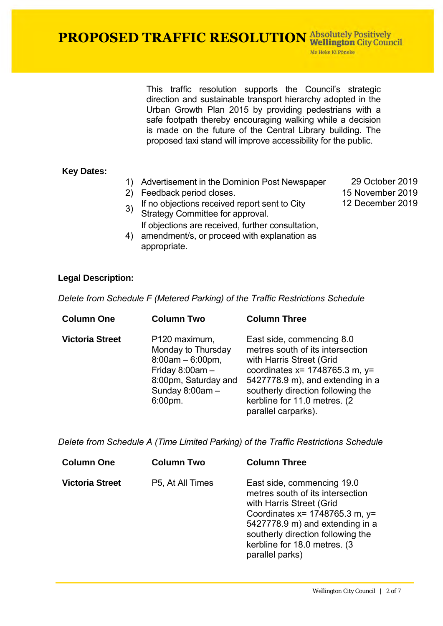Me Heke Ki Põneke

12 December 2019

This traffic resolution supports the Council's strategic direction and sustainable transport hierarchy adopted in the Urban Growth Plan 2015 by providing pedestrians with a safe footpath thereby encouraging walking while a decision is made on the future of the Central Library building. The proposed taxi stand will improve accessibility for the public.

### **Key Dates:**

- 1) Advertisement in the Dominion Post Newspaper 29 October 2019
- 2) Feedback period closes. 15 November 2019
- $3)$  If no objections received report sent to City
- Strategy Committee for approval. If objections are received, further consultation,
- 4) amendment/s, or proceed with explanation as appropriate.

### **Legal Description:**

*Delete from Schedule F (Metered Parking) of the Traffic Restrictions Schedule* 

| <b>Column One</b>      | <b>Column Two</b>                                                                                                                               | <b>Column Three</b>                                                                                                                                                                                                                                                |
|------------------------|-------------------------------------------------------------------------------------------------------------------------------------------------|--------------------------------------------------------------------------------------------------------------------------------------------------------------------------------------------------------------------------------------------------------------------|
| <b>Victoria Street</b> | P120 maximum,<br>Monday to Thursday<br>$8:00am - 6:00pm,$<br>Friday $8:00$ am $-$<br>8:00pm, Saturday and<br>Sunday $8:00$ am $-$<br>$6:00$ pm. | East side, commencing 8.0<br>metres south of its intersection<br>with Harris Street (Grid<br>coordinates $x = 1748765.3$ m, $y =$<br>5427778.9 m), and extending in a<br>southerly direction following the<br>kerbline for 11.0 metres. (2)<br>parallel carparks). |

*Delete from Schedule A (Time Limited Parking) of the Traffic Restrictions Schedule* 

| <b>Column One</b>      | <b>Column Two</b> | <b>Column Three</b>                                                                                                                                                                                                                                           |
|------------------------|-------------------|---------------------------------------------------------------------------------------------------------------------------------------------------------------------------------------------------------------------------------------------------------------|
| <b>Victoria Street</b> | P5, At All Times  | East side, commencing 19.0<br>metres south of its intersection<br>with Harris Street (Grid<br>Coordinates $x = 1748765.3$ m, $y =$<br>5427778.9 m) and extending in a<br>southerly direction following the<br>kerbline for 18.0 metres. (3<br>parallel parks) |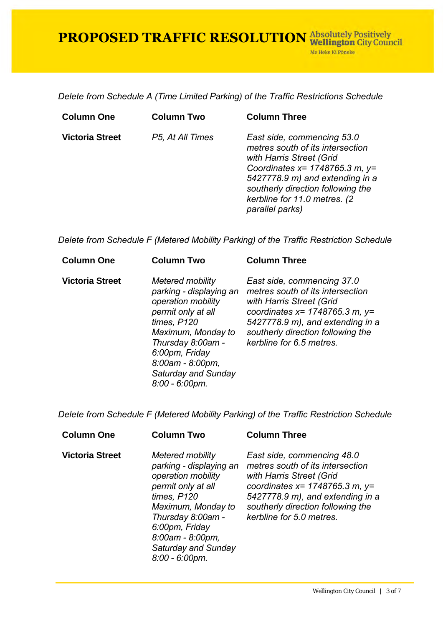Me Heke Ki Põneke

## *Delete from Schedule A (Time Limited Parking) of the Traffic Restrictions Schedule*

| <b>Column One</b>      | <b>Column Two</b> | <b>Column Three</b>                                                                                                                                                                                                                                            |
|------------------------|-------------------|----------------------------------------------------------------------------------------------------------------------------------------------------------------------------------------------------------------------------------------------------------------|
| <b>Victoria Street</b> | P5, At All Times  | East side, commencing 53.0<br>metres south of its intersection<br>with Harris Street (Grid<br>Coordinates $x = 1748765.3$ m, $y =$<br>5427778.9 m) and extending in a<br>southerly direction following the<br>kerbline for 11.0 metres. (2)<br>parallel parks) |

*Delete from Schedule F (Metered Mobility Parking) of the Traffic Restriction Schedule* 

| <b>Column One</b>      | <b>Column Two</b>                                                                                                                                                                                                                          | <b>Column Three</b>                                                                                                                                                                                                                     |
|------------------------|--------------------------------------------------------------------------------------------------------------------------------------------------------------------------------------------------------------------------------------------|-----------------------------------------------------------------------------------------------------------------------------------------------------------------------------------------------------------------------------------------|
| <b>Victoria Street</b> | <b>Metered mobility</b><br>parking - displaying an<br>operation mobility<br>permit only at all<br>times, P120<br>Maximum, Monday to<br>Thursday 8:00am -<br>6:00pm, Friday<br>8:00am - 8:00pm,<br>Saturday and Sunday<br>$8.00 - 6.00$ pm. | East side, commencing 37.0<br>metres south of its intersection<br>with Harris Street (Grid<br>coordinates $x = 1748765.3$ m, $y =$<br>5427778.9 m), and extending in a<br>southerly direction following the<br>kerbline for 6.5 metres. |

*Delete from Schedule F (Metered Mobility Parking) of the Traffic Restriction Schedule* 

| <b>Column One</b>      | <b>Column Two</b>                                                                                                                                                                                                                          | <b>Column Three</b>                                                                                                                                                                                                                     |
|------------------------|--------------------------------------------------------------------------------------------------------------------------------------------------------------------------------------------------------------------------------------------|-----------------------------------------------------------------------------------------------------------------------------------------------------------------------------------------------------------------------------------------|
| <b>Victoria Street</b> | <b>Metered mobility</b><br>parking - displaying an<br>operation mobility<br>permit only at all<br>times, P120<br>Maximum, Monday to<br>Thursday 8:00am -<br>6.00pm, Friday<br>8:00am - 8:00pm,<br>Saturday and Sunday<br>$8.00 - 6.00$ pm. | East side, commencing 48.0<br>metres south of its intersection<br>with Harris Street (Grid<br>coordinates $x = 1748765.3$ m, $y =$<br>5427778.9 m), and extending in a<br>southerly direction following the<br>kerbline for 5.0 metres. |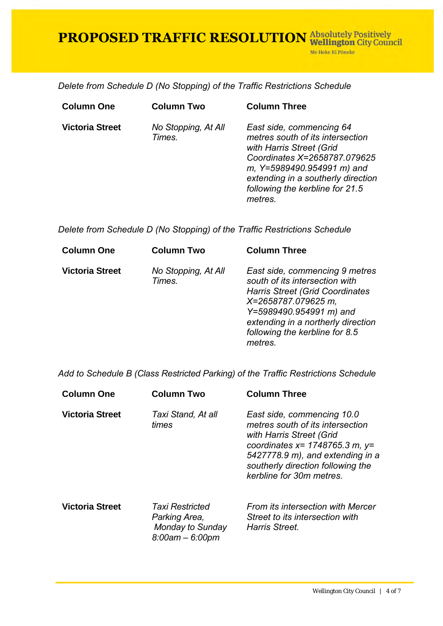## **PROPOSED TRAFFIC RESOLUTION** Absolutely Positively Me Heke Ki Põneke

*Delete from Schedule D (No Stopping) of the Traffic Restrictions Schedule* 

| <b>Column One</b>      | <b>Column Two</b>             | <b>Column Three</b>                                                                                                                                                                                                                        |
|------------------------|-------------------------------|--------------------------------------------------------------------------------------------------------------------------------------------------------------------------------------------------------------------------------------------|
| <b>Victoria Street</b> | No Stopping, At All<br>Times. | East side, commencing 64<br>metres south of its intersection<br>with Harris Street (Grid<br>Coordinates X=2658787.079625<br>m, Y=5989490.954991 m) and<br>extending in a southerly direction<br>following the kerbline for 21.5<br>metres. |
|                        |                               |                                                                                                                                                                                                                                            |

*Delete from Schedule D (No Stopping) of the Traffic Restrictions Schedule* 

| <b>Column One</b>      | <b>Column Two</b>             | <b>Column Three</b>                                                                                                                                                                                                                             |
|------------------------|-------------------------------|-------------------------------------------------------------------------------------------------------------------------------------------------------------------------------------------------------------------------------------------------|
| <b>Victoria Street</b> | No Stopping, At All<br>Times. | East side, commencing 9 metres<br>south of its intersection with<br><b>Harris Street (Grid Coordinates</b><br>X=2658787.079625 m,<br>Y=5989490.954991 m) and<br>extending in a northerly direction<br>following the kerbline for 8.5<br>metres. |

*Add to Schedule B (Class Restricted Parking) of the Traffic Restrictions Schedule* 

| <b>Column One</b>      | <b>Column Two</b>                                                                    | <b>Column Three</b>                                                                                                                                                                                                                     |
|------------------------|--------------------------------------------------------------------------------------|-----------------------------------------------------------------------------------------------------------------------------------------------------------------------------------------------------------------------------------------|
| <b>Victoria Street</b> | Taxi Stand, At all<br>times                                                          | East side, commencing 10.0<br>metres south of its intersection<br>with Harris Street (Grid<br>coordinates $x = 1748765.3$ m, $y =$<br>5427778.9 m), and extending in a<br>southerly direction following the<br>kerbline for 30m metres. |
| <b>Victoria Street</b> | Taxi Restricted<br>Parking Area,<br><b>Monday to Sunday</b><br>$8.00$ am $- 6.00$ pm | From its intersection with Mercer<br>Street to its intersection with<br>Harris Street.                                                                                                                                                  |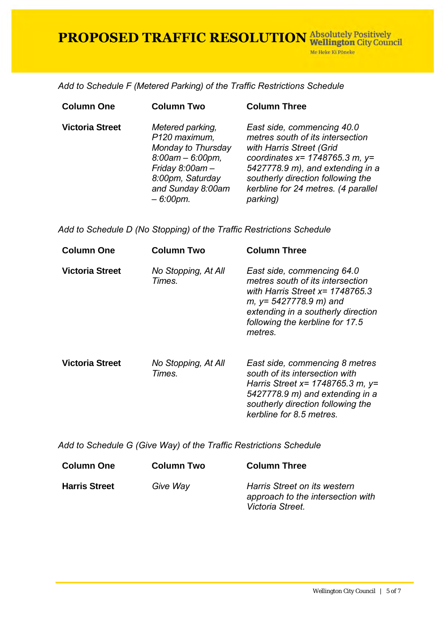Me Heke Ki Põneke

*Add to Schedule F (Metered Parking) of the Traffic Restrictions Schedule* 

| <b>Column One</b>      | <b>Column Two</b>                                                                                                                                             | <b>Column Three</b>                                                                                                                                                                                                                                           |
|------------------------|---------------------------------------------------------------------------------------------------------------------------------------------------------------|---------------------------------------------------------------------------------------------------------------------------------------------------------------------------------------------------------------------------------------------------------------|
| <b>Victoria Street</b> | Metered parking,<br>P120 maximum,<br>Monday to Thursday<br>$8.00am - 6.00pm,$<br>Friday $8:00$ am $-$<br>8:00pm, Saturday<br>and Sunday 8:00am<br>$-6.00$ pm. | East side, commencing 40.0<br>metres south of its intersection<br>with Harris Street (Grid<br>coordinates $x = 1748765.3$ m, $y=$<br>5427778.9 m), and extending in a<br>southerly direction following the<br>kerbline for 24 metres. (4 parallel<br>parking) |
|                        |                                                                                                                                                               |                                                                                                                                                                                                                                                               |

*Add to Schedule D (No Stopping) of the Traffic Restrictions Schedule* 

| <b>Column One</b>      | <b>Column Two</b>             | <b>Column Three</b>                                                                                                                                                                                                   |
|------------------------|-------------------------------|-----------------------------------------------------------------------------------------------------------------------------------------------------------------------------------------------------------------------|
| <b>Victoria Street</b> | No Stopping, At All<br>Times. | East side, commencing 64.0<br>metres south of its intersection<br>with Harris Street $x = 1748765.3$<br>$m, y = 5427778.9 m)$ and<br>extending in a southerly direction<br>following the kerbline for 17.5<br>metres. |
| <b>Victoria Street</b> | No Stopping, At All<br>Times. | East side, commencing 8 metres<br>south of its intersection with<br>Harris Street $x = 1748765.3$ m, $y =$<br>5427778.9 m) and extending in a<br>southerly direction following the<br>kerbline for 8.5 metres.        |

*Add to Schedule G (Give Way) of the Traffic Restrictions Schedule* 

| <b>Column One</b>    | <b>Column Two</b> | <b>Column Three</b>                                                                   |
|----------------------|-------------------|---------------------------------------------------------------------------------------|
| <b>Harris Street</b> | Give Way          | Harris Street on its western<br>approach to the intersection with<br>Victoria Street. |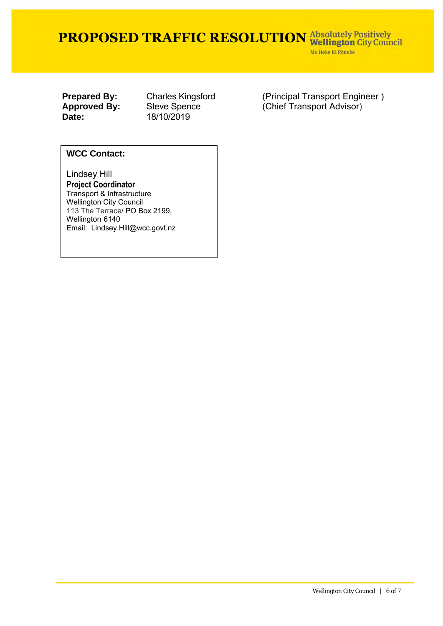Me Heke Ki Põneke

**Date:** 18/10/2019

**Prepared By:** Charles Kingsford (Principal Transport Engineer )<br> **Approved By:** Steve Spence (Chief Transport Advisor) *Chief Transport Advisor*)

## **WCC Contact:**

Lindsey Hill **Project Coordinator** Transport & Infrastructure Wellington City Council 113 The Terrace/ PO Box 2199, Wellington 6140 Email: Lindsey.Hill@wcc.govt.nz